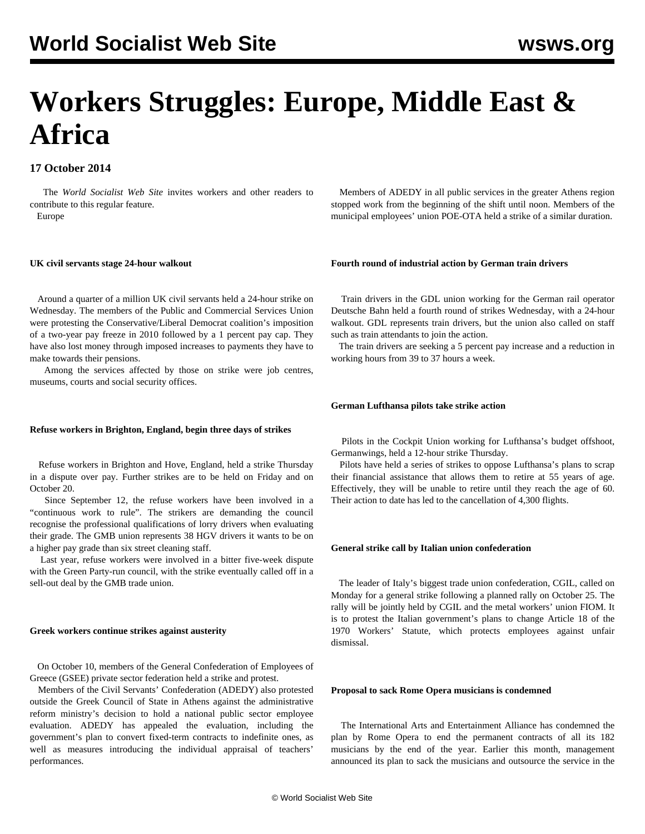# **Workers Struggles: Europe, Middle East & Africa**

## **17 October 2014**

 The *World Socialist Web Site* invites workers and other readers to [contribute](/wsws/dd-formmailer/dd-formmailer.php) to this regular feature.

Europe

## **UK civil servants stage 24-hour walkout**

 Around a quarter of a million UK civil servants held a 24-hour strike on Wednesday. The members of the Public and Commercial Services Union were protesting the Conservative/Liberal Democrat coalition's imposition of a two-year pay freeze in 2010 followed by a 1 percent pay cap. They have also lost money through imposed increases to payments they have to make towards their pensions.

 Among the services affected by those on strike were job centres, museums, courts and social security offices.

## **Refuse workers in Brighton, England, begin three days of strikes**

 Refuse workers in Brighton and Hove, England, held a strike Thursday in a dispute over pay. Further strikes are to be held on Friday and on October 20.

 Since September 12, the refuse workers have been involved in a "continuous work to rule". The strikers are demanding the council recognise the professional qualifications of lorry drivers when evaluating their grade. The GMB union represents 38 HGV drivers it wants to be on a higher pay grade than six street cleaning staff.

 Last year, refuse workers were involved in a bitter five-week dispute with the Green Party-run council, with the strike eventually called off in a sell-out deal by the GMB trade union.

## **Greek workers continue strikes against austerity**

 On October 10, members of the General Confederation of Employees of Greece (GSEE) private sector federation held a strike and protest.

 Members of the Civil Servants' Confederation (ADEDY) also protested outside the Greek Council of State in Athens against the administrative reform ministry's decision to hold a national public sector employee evaluation. ADEDY has appealed the evaluation, including the government's plan to convert fixed-term contracts to indefinite ones, as well as measures introducing the individual appraisal of teachers' performances.

 Members of ADEDY in all public services in the greater Athens region stopped work from the beginning of the shift until noon. Members of the municipal employees' union POE-OTA held a strike of a similar duration.

## **Fourth round of industrial action by German train drivers**

 Train drivers in the GDL union working for the German rail operator Deutsche Bahn held a fourth round of strikes Wednesday, with a 24-hour walkout. GDL represents train drivers, but the union also called on staff such as train attendants to join the action.

 The train drivers are seeking a 5 percent pay increase and a reduction in working hours from 39 to 37 hours a week.

## **German Lufthansa pilots take strike action**

 Pilots in the Cockpit Union working for Lufthansa's budget offshoot, Germanwings, held a 12-hour strike Thursday.

 Pilots have held a series of strikes to oppose Lufthansa's plans to scrap their financial assistance that allows them to retire at 55 years of age. Effectively, they will be unable to retire until they reach the age of 60. Their action to date has led to the cancellation of 4,300 flights.

## **General strike call by Italian union confederation**

 The leader of Italy's biggest trade union confederation, CGIL, called on Monday for a general strike following a planned rally on October 25. The rally will be jointly held by CGIL and the metal workers' union FIOM. It is to protest the Italian government's plans to change Article 18 of the 1970 Workers' Statute, which protects employees against unfair dismissal.

## **Proposal to sack Rome Opera musicians is condemned**

 The International Arts and Entertainment Alliance has condemned the plan by Rome Opera to end the permanent contracts of all its 182 musicians by the end of the year. Earlier this month, management announced its plan to sack the musicians and outsource the service in the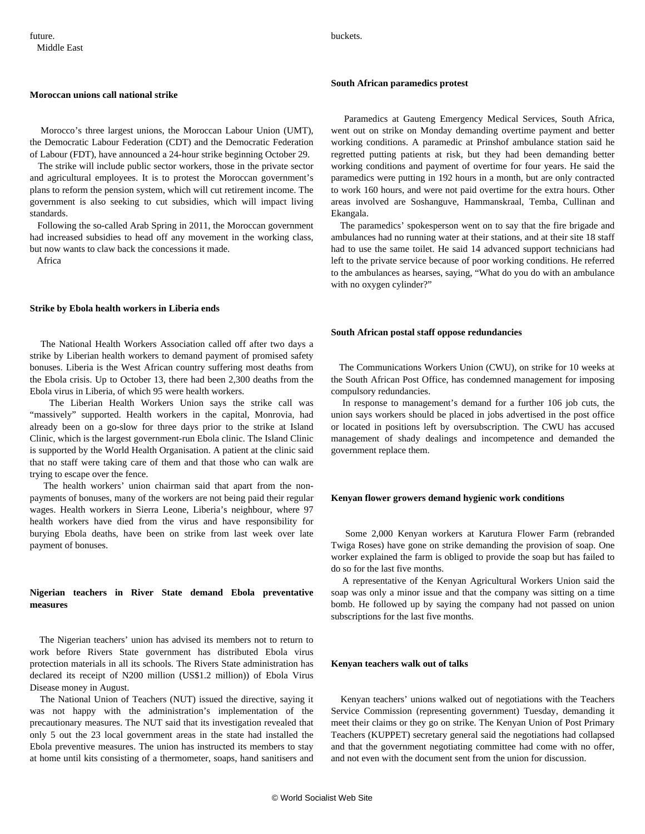## **Moroccan unions call national strike**

 Morocco's three largest unions, the Moroccan Labour Union (UMT), the Democratic Labour Federation (CDT) and the Democratic Federation of Labour (FDT), have announced a 24-hour strike beginning October 29.

 The strike will include public sector workers, those in the private sector and agricultural employees. It is to protest the Moroccan government's plans to reform the pension system, which will cut retirement income. The government is also seeking to cut subsidies, which will impact living standards.

 Following the so-called Arab Spring in 2011, the Moroccan government had increased subsidies to head off any movement in the working class, but now wants to claw back the concessions it made.

Africa

## **Strike by Ebola health workers in Liberia ends**

 The National Health Workers Association called off after two days a strike by Liberian health workers to demand payment of promised safety bonuses. Liberia is the West African country suffering most deaths from the Ebola crisis. Up to October 13, there had been 2,300 deaths from the Ebola virus in Liberia, of which 95 were health workers.

 The Liberian Health Workers Union says the strike call was "massively" supported. Health workers in the capital, Monrovia, had already been on a go-slow for three days prior to the strike at Island Clinic, which is the largest government-run Ebola clinic. The Island Clinic is supported by the World Health Organisation. A patient at the clinic said that no staff were taking care of them and that those who can walk are trying to escape over the fence.

 The health workers' union chairman said that apart from the nonpayments of bonuses, many of the workers are not being paid their regular wages. Health workers in Sierra Leone, Liberia's neighbour, where 97 health workers have died from the virus and have responsibility for burying Ebola deaths, have been on strike from last week over late payment of bonuses.

## **Nigerian teachers in River State demand Ebola preventative measures**

 The Nigerian teachers' union has advised its members not to return to work before Rivers State government has distributed Ebola virus protection materials in all its schools. The Rivers State administration has declared its receipt of N200 million (US\$1.2 million)) of Ebola Virus Disease money in August.

 The National Union of Teachers (NUT) issued the directive, saying it was not happy with the administration's implementation of the precautionary measures. The NUT said that its investigation revealed that only 5 out the 23 local government areas in the state had installed the Ebola preventive measures. The union has instructed its members to stay at home until kits consisting of a thermometer, soaps, hand sanitisers and

buckets.

#### **South African paramedics protest**

 Paramedics at Gauteng Emergency Medical Services, South Africa, went out on strike on Monday demanding overtime payment and better working conditions. A paramedic at Prinshof ambulance station said he regretted putting patients at risk, but they had been demanding better working conditions and payment of overtime for four years. He said the paramedics were putting in 192 hours in a month, but are only contracted to work 160 hours, and were not paid overtime for the extra hours. Other areas involved are Soshanguve, Hammanskraal, Temba, Cullinan and Ekangala.

 The paramedics' spokesperson went on to say that the fire brigade and ambulances had no running water at their stations, and at their site 18 staff had to use the same toilet. He said 14 advanced support technicians had left to the private service because of poor working conditions. He referred to the ambulances as hearses, saying, "What do you do with an ambulance with no oxygen cylinder?"

#### **South African postal staff oppose redundancies**

 The Communications Workers Union (CWU), on strike for 10 weeks at the South African Post Office, has condemned management for imposing compulsory redundancies.

 In response to management's demand for a further 106 job cuts, the union says workers should be placed in jobs advertised in the post office or located in positions left by oversubscription. The CWU has accused management of shady dealings and incompetence and demanded the government replace them.

#### **Kenyan flower growers demand hygienic work conditions**

 Some 2,000 Kenyan workers at Karutura Flower Farm (rebranded Twiga Roses) have gone on strike demanding the provision of soap. One worker explained the farm is obliged to provide the soap but has failed to do so for the last five months.

 A representative of the Kenyan Agricultural Workers Union said the soap was only a minor issue and that the company was sitting on a time bomb. He followed up by saying the company had not passed on union subscriptions for the last five months.

## **Kenyan teachers walk out of talks**

 Kenyan teachers' unions walked out of negotiations with the Teachers Service Commission (representing government) Tuesday, demanding it meet their claims or they go on strike. The Kenyan Union of Post Primary Teachers (KUPPET) secretary general said the negotiations had collapsed and that the government negotiating committee had come with no offer, and not even with the document sent from the union for discussion.